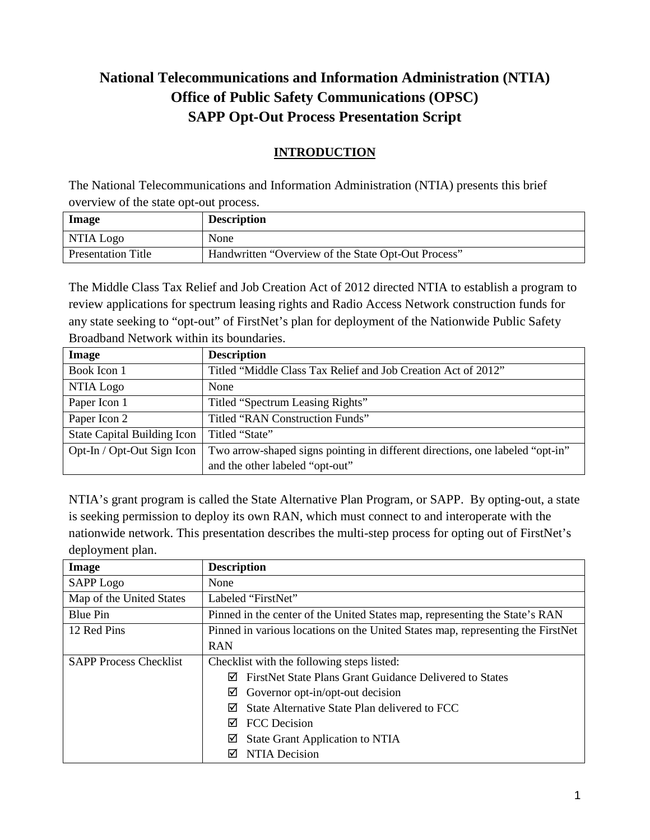# **National Telecommunications and Information Administration (NTIA) Office of Public Safety Communications (OPSC) SAPP Opt-Out Process Presentation Script**

## **INTRODUCTION**

The National Telecommunications and Information Administration (NTIA) presents this brief overview of the state opt-out process.

| Image                     | <b>Description</b>                                  |
|---------------------------|-----------------------------------------------------|
| NTIA Logo                 | None                                                |
| <b>Presentation Title</b> | Handwritten "Overview of the State Opt-Out Process" |

The Middle Class Tax Relief and Job Creation Act of 2012 directed NTIA to establish a program to review applications for spectrum leasing rights and Radio Access Network construction funds for any state seeking to "opt-out" of FirstNet's plan for deployment of the Nationwide Public Safety Broadband Network within its boundaries.

| Image                              | <b>Description</b>                                                            |
|------------------------------------|-------------------------------------------------------------------------------|
| Book Icon 1                        | Titled "Middle Class Tax Relief and Job Creation Act of 2012"                 |
| NTIA Logo                          | None                                                                          |
| Paper Icon 1                       | Titled "Spectrum Leasing Rights"                                              |
| Paper Icon 2                       | Titled "RAN Construction Funds"                                               |
| <b>State Capital Building Icon</b> | Titled "State"                                                                |
| Opt-In / Opt-Out Sign Icon         | Two arrow-shaped signs pointing in different directions, one labeled "opt-in" |
|                                    | and the other labeled "opt-out"                                               |

NTIA's grant program is called the State Alternative Plan Program, or SAPP. By opting-out, a state is seeking permission to deploy its own RAN, which must connect to and interoperate with the nationwide network. This presentation describes the multi-step process for opting out of FirstNet's deployment plan.

| Image                         | <b>Description</b>                                                              |
|-------------------------------|---------------------------------------------------------------------------------|
| <b>SAPP</b> Logo              | None                                                                            |
| Map of the United States      | Labeled "FirstNet"                                                              |
| <b>Blue Pin</b>               | Pinned in the center of the United States map, representing the State's RAN     |
| 12 Red Pins                   | Pinned in various locations on the United States map, representing the FirstNet |
|                               | <b>RAN</b>                                                                      |
| <b>SAPP Process Checklist</b> | Checklist with the following steps listed:                                      |
|                               | FirstNet State Plans Grant Guidance Delivered to States<br>⋈                    |
|                               | Governor opt-in/opt-out decision<br>⊻                                           |
|                               | State Alternative State Plan delivered to FCC<br>⋈                              |
|                               | <b>FCC</b> Decision<br>⋈                                                        |
|                               | <b>State Grant Application to NTIA</b><br>☑                                     |
|                               | NTIA Decision<br>☑                                                              |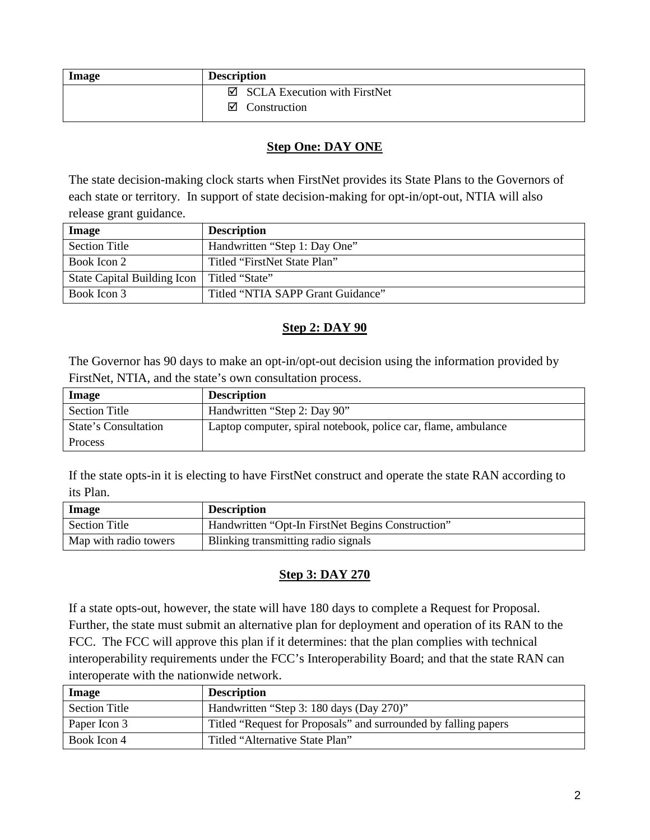| Image | <b>Description</b>                       |
|-------|------------------------------------------|
|       | $\boxtimes$ SCLA Execution with FirstNet |
|       | $\boxtimes$ Construction                 |

#### **Step One: DAY ONE**

The state decision-making clock starts when FirstNet provides its State Plans to the Governors of each state or territory. In support of state decision-making for opt-in/opt-out, NTIA will also release grant guidance.

| Image                       | <b>Description</b>                |
|-----------------------------|-----------------------------------|
| <b>Section Title</b>        | Handwritten "Step 1: Day One"     |
| Book Icon 2                 | Titled "FirstNet State Plan"      |
| State Capital Building Icon | Titled "State"                    |
| Book Icon 3                 | Titled "NTIA SAPP Grant Guidance" |

#### **Step 2: DAY 90**

The Governor has 90 days to make an opt-in/opt-out decision using the information provided by FirstNet, NTIA, and the state's own consultation process.

| Image                | <b>Description</b>                                             |
|----------------------|----------------------------------------------------------------|
| <b>Section Title</b> | Handwritten "Step 2: Day 90"                                   |
| State's Consultation | Laptop computer, spiral notebook, police car, flame, ambulance |
| Process              |                                                                |

If the state opts-in it is electing to have FirstNet construct and operate the state RAN according to its Plan.

| <b>Image</b>          | <b>Description</b>                                |
|-----------------------|---------------------------------------------------|
| <b>Section Title</b>  | Handwritten "Opt-In FirstNet Begins Construction" |
| Map with radio towers | Blinking transmitting radio signals               |

#### **Step 3: DAY 270**

If a state opts-out, however, the state will have 180 days to complete a Request for Proposal. Further, the state must submit an alternative plan for deployment and operation of its RAN to the FCC. The FCC will approve this plan if it determines: that the plan complies with technical interoperability requirements under the FCC's Interoperability Board; and that the state RAN can interoperate with the nationwide network.

| Image                | <b>Description</b>                                              |
|----------------------|-----------------------------------------------------------------|
| <b>Section Title</b> | Handwritten "Step 3: 180 days (Day 270)"                        |
| Paper Icon 3         | Titled "Request for Proposals" and surrounded by falling papers |
| Book Icon 4          | Titled "Alternative State Plan"                                 |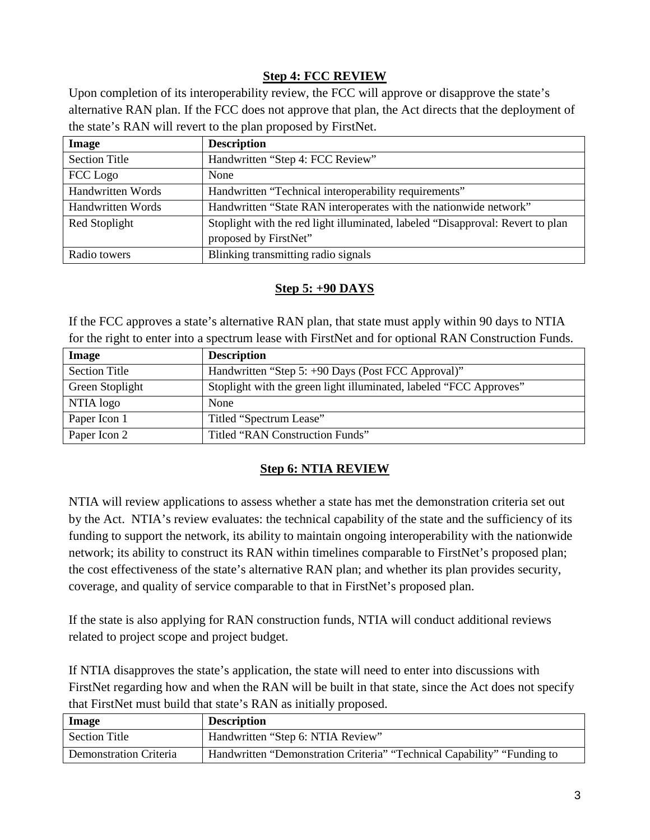## **Step 4: FCC REVIEW**

Upon completion of its interoperability review, the FCC will approve or disapprove the state's alternative RAN plan. If the FCC does not approve that plan, the Act directs that the deployment of the state's RAN will revert to the plan proposed by FirstNet.

| Image                | <b>Description</b>                                                                                      |
|----------------------|---------------------------------------------------------------------------------------------------------|
| <b>Section Title</b> | Handwritten "Step 4: FCC Review"                                                                        |
| FCC Logo             | None                                                                                                    |
| Handwritten Words    | Handwritten "Technical interoperability requirements"                                                   |
| Handwritten Words    | Handwritten "State RAN interoperates with the nationwide network"                                       |
| Red Stoplight        | Stoplight with the red light illuminated, labeled "Disapproval: Revert to plan<br>proposed by FirstNet" |
| Radio towers         | Blinking transmitting radio signals                                                                     |
|                      |                                                                                                         |

## **Step 5: +90 DAYS**

If the FCC approves a state's alternative RAN plan, that state must apply within 90 days to NTIA for the right to enter into a spectrum lease with FirstNet and for optional RAN Construction Funds.

| Image                | <b>Description</b>                                                 |
|----------------------|--------------------------------------------------------------------|
| <b>Section Title</b> | Handwritten "Step 5: +90 Days (Post FCC Approval)"                 |
| Green Stoplight      | Stoplight with the green light illuminated, labeled "FCC Approves" |
| NTIA logo            | None                                                               |
| Paper Icon 1         | Titled "Spectrum Lease"                                            |
| Paper Icon 2         | Titled "RAN Construction Funds"                                    |

## **Step 6: NTIA REVIEW**

NTIA will review applications to assess whether a state has met the demonstration criteria set out by the Act. NTIA's review evaluates: the technical capability of the state and the sufficiency of its funding to support the network, its ability to maintain ongoing interoperability with the nationwide network; its ability to construct its RAN within timelines comparable to FirstNet's proposed plan; the cost effectiveness of the state's alternative RAN plan; and whether its plan provides security, coverage, and quality of service comparable to that in FirstNet's proposed plan.

If the state is also applying for RAN construction funds, NTIA will conduct additional reviews related to project scope and project budget.

If NTIA disapproves the state's application, the state will need to enter into discussions with FirstNet regarding how and when the RAN will be built in that state, since the Act does not specify that FirstNet must build that state's RAN as initially proposed.

| Image                         | <b>Description</b>                                                      |
|-------------------------------|-------------------------------------------------------------------------|
| <b>Section Title</b>          | Handwritten "Step 6: NTIA Review"                                       |
| <b>Demonstration Criteria</b> | Handwritten "Demonstration Criteria" "Technical Capability" "Funding to |